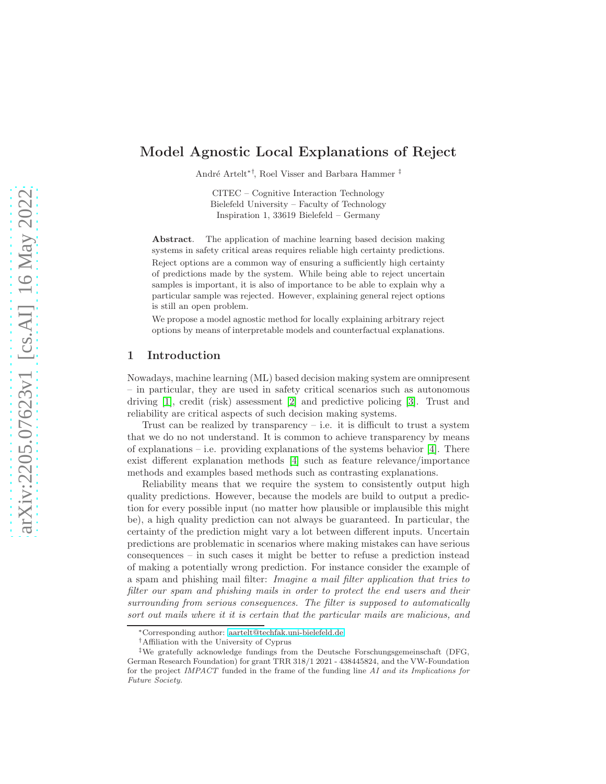# Model Agnostic Local Explanations of Reject

André Artelt<sup>∗†</sup>, Roel Visser and Barbara Hammer <sup>‡</sup>

CITEC – Cognitive Interaction Technology Bielefeld University – Faculty of Technology Inspiration 1, 33619 Bielefeld – Germany

Abstract. The application of machine learning based decision making systems in safety critical areas requires reliable high certainty predictions. Reject options are a common way of ensuring a sufficiently high certainty of predictions made by the system. While being able to reject uncertain samples is important, it is also of importance to be able to explain why a particular sample was rejected. However, explaining general reject options is still an open problem.

We propose a model agnostic method for locally explaining arbitrary reject options by means of interpretable models and counterfactual explanations.

#### 1 Introduction

Nowadays, machine learning (ML) based decision making system are omnipresent – in particular, they are used in safety critical scenarios such as autonomous driving [\[1\]](#page-9-0), credit (risk) assessment [\[2\]](#page-9-1) and predictive policing [\[3\]](#page-9-2). Trust and reliability are critical aspects of such decision making systems.

Trust can be realized by transparency  $-$  i.e. it is difficult to trust a system that we do no not understand. It is common to achieve transparency by means of explanations – i.e. providing explanations of the systems behavior  $[4]$ . There exist different explanation methods [\[4\]](#page-9-3) such as feature relevance/importance methods and examples based methods such as contrasting explanations.

Reliability means that we require the system to consistently output high quality predictions. However, because the models are build to output a prediction for every possible input (no matter how plausible or implausible this might be), a high quality prediction can not always be guaranteed. In particular, the certainty of the prediction might vary a lot between different inputs. Uncertain predictions are problematic in scenarios where making mistakes can have serious consequences – in such cases it might be better to refuse a prediction instead of making a potentially wrong prediction. For instance consider the example of a spam and phishing mail filter: Imagine a mail filter application that tries to filter our spam and phishing mails in order to protect the end users and their surrounding from serious consequences. The filter is supposed to automatically sort out mails where it it is certain that the particular mails are malicious, and

<sup>∗</sup>Corresponding author: [aartelt@techfak.uni-bielefeld.de](mailto:aartelt@techfak.uni-bielefeld.de)

<sup>†</sup>Affiliation with the University of Cyprus

<sup>‡</sup>We gratefully acknowledge fundings from the Deutsche Forschungsgemeinschaft (DFG, German Research Foundation) for grant TRR 318/1 2021 - 438445824, and the VW-Foundation for the project IMPACT funded in the frame of the funding line AI and its Implications for Future Society.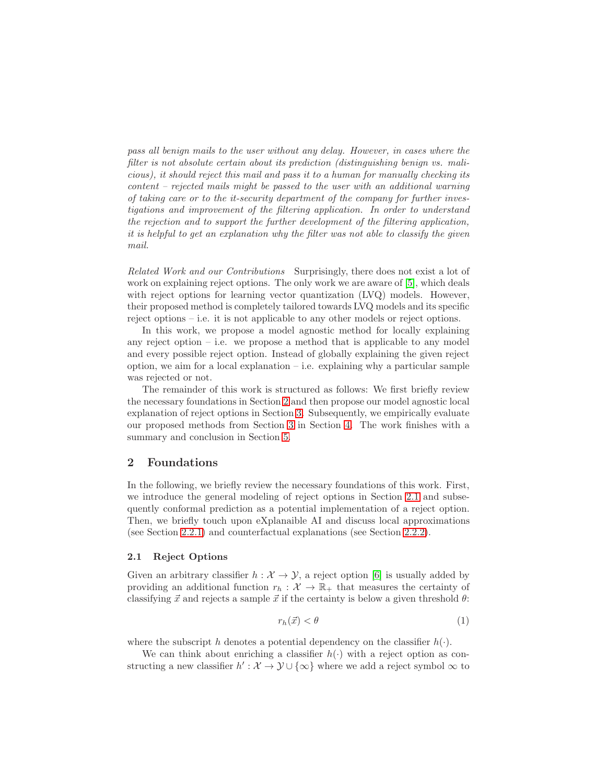pass all benign mails to the user without any delay. However, in cases where the filter is not absolute certain about its prediction (distinguishing benign vs. malicious), it should reject this mail and pass it to a human for manually checking its content – rejected mails might be passed to the user with an additional warning of taking care or to the it-security department of the company for further investigations and improvement of the filtering application. In order to understand the rejection and to support the further development of the filtering application, it is helpful to get an explanation why the filter was not able to classify the given mail.

Related Work and our Contributions Surprisingly, there does not exist a lot of work on explaining reject options. The only work we are aware of [\[5\]](#page-9-4), which deals with reject options for learning vector quantization (LVQ) models. However, their proposed method is completely tailored towards LVQ models and its specific reject options – i.e. it is not applicable to any other models or reject options.

In this work, we propose a model agnostic method for locally explaining any reject option  $-$  i.e. we propose a method that is applicable to any model and every possible reject option. Instead of globally explaining the given reject option, we aim for a local explanation  $-$  i.e. explaining why a particular sample was rejected or not.

The remainder of this work is structured as follows: We first briefly review the necessary foundations in Section [2](#page-1-0) and then propose our model agnostic local explanation of reject options in Section [3.](#page-4-0) Subsequently, we empirically evaluate our proposed methods from Section [3](#page-4-0) in Section [4.](#page-5-0) The work finishes with a summary and conclusion in Section [5.](#page-9-5)

## <span id="page-1-0"></span>2 Foundations

In the following, we briefly review the necessary foundations of this work. First, we introduce the general modeling of reject options in Section [2.1](#page-1-1) and subsequently conformal prediction as a potential implementation of a reject option. Then, we briefly touch upon eXplanaible AI and discuss local approximations (see Section [2.2.1\)](#page-3-0) and counterfactual explanations (see Section [2.2.2\)](#page-3-1).

#### <span id="page-1-1"></span>2.1 Reject Options

Given an arbitrary classifier  $h : \mathcal{X} \to \mathcal{Y}$ , a reject option [\[6\]](#page-9-6) is usually added by providing an additional function  $r_h : \mathcal{X} \to \mathbb{R}_+$  that measures the certainty of classifying  $\vec{x}$  and rejects a sample  $\vec{x}$  if the certainty is below a given threshold  $\theta$ :

<span id="page-1-2"></span>
$$
r_h(\vec{x}) < \theta \tag{1}
$$

where the subscript h denotes a potential dependency on the classifier  $h(\cdot)$ .

We can think about enriching a classifier  $h(\cdot)$  with a reject option as constructing a new classifier  $h': \mathcal{X} \to \mathcal{Y} \cup {\infty}$  where we add a reject symbol  $\infty$  to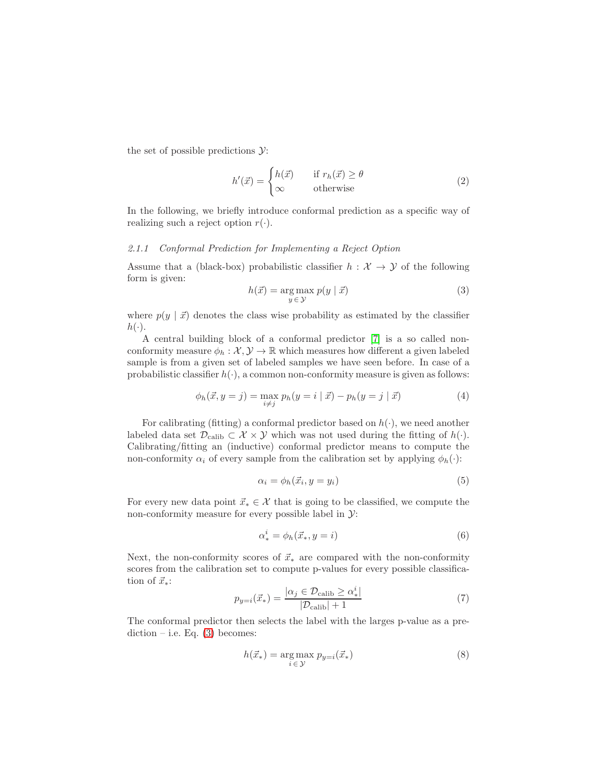the set of possible predictions  $\mathcal{Y}$ :

$$
h'(\vec{x}) = \begin{cases} h(\vec{x}) & \text{if } r_h(\vec{x}) \ge \theta \\ \infty & \text{otherwise} \end{cases}
$$
 (2)

In the following, we briefly introduce conformal prediction as a specific way of realizing such a reject option  $r(\cdot)$ .

#### 2.1.1 Conformal Prediction for Implementing a Reject Option

Assume that a (black-box) probabilistic classifier  $h : \mathcal{X} \to \mathcal{Y}$  of the following form is given:

<span id="page-2-0"></span>
$$
h(\vec{x}) = \underset{y \in \mathcal{Y}}{\arg \max} \ p(y \mid \vec{x}) \tag{3}
$$

where  $p(y | \vec{x})$  denotes the class wise probability as estimated by the classifier  $h(\cdot).$ 

A central building block of a conformal predictor [\[7\]](#page-9-7) is a so called nonconformity measure  $\phi_h : \mathcal{X}, \mathcal{Y} \to \mathbb{R}$  which measures how different a given labeled sample is from a given set of labeled samples we have seen before. In case of a probabilistic classifier  $h(\cdot)$ , a common non-conformity measure is given as follows:

$$
\phi_h(\vec{x}, y = j) = \max_{i \neq j} p_h(y = i | \vec{x}) - p_h(y = j | \vec{x})
$$
\n(4)

For calibrating (fitting) a conformal predictor based on  $h(\cdot)$ , we need another labeled data set  $\mathcal{D}_{\text{calib}} \subset \mathcal{X} \times \mathcal{Y}$  which was not used during the fitting of  $h(\cdot)$ . Calibrating/fitting an (inductive) conformal predictor means to compute the non-conformity  $\alpha_i$  of every sample from the calibration set by applying  $\phi_h(\cdot)$ :

$$
\alpha_i = \phi_h(\vec{x}_i, y = y_i) \tag{5}
$$

For every new data point  $\vec{x}_* \in \mathcal{X}$  that is going to be classified, we compute the non-conformity measure for every possible label in  $\mathcal{Y}$ :

$$
\alpha^i_* = \phi_h(\vec{x}_*, y = i) \tag{6}
$$

Next, the non-conformity scores of  $\vec{x}_*$  are compared with the non-conformity scores from the calibration set to compute p-values for every possible classification of  $\vec{x}_*$ :

$$
p_{y=i}(\vec{x}_*) = \frac{|\alpha_j \in \mathcal{D}_{\text{calib}} \ge \alpha_*^i|}{|\mathcal{D}_{\text{calib}}| + 1} \tag{7}
$$

The conformal predictor then selects the label with the larges p-value as a pre- $diction - i.e. Eq. (3) becomes:$  $diction - i.e. Eq. (3) becomes:$  $diction - i.e. Eq. (3) becomes:$ 

$$
h(\vec{x}_*) = \underset{i \in \mathcal{Y}}{\arg \max} \ p_{y=i}(\vec{x}_*) \tag{8}
$$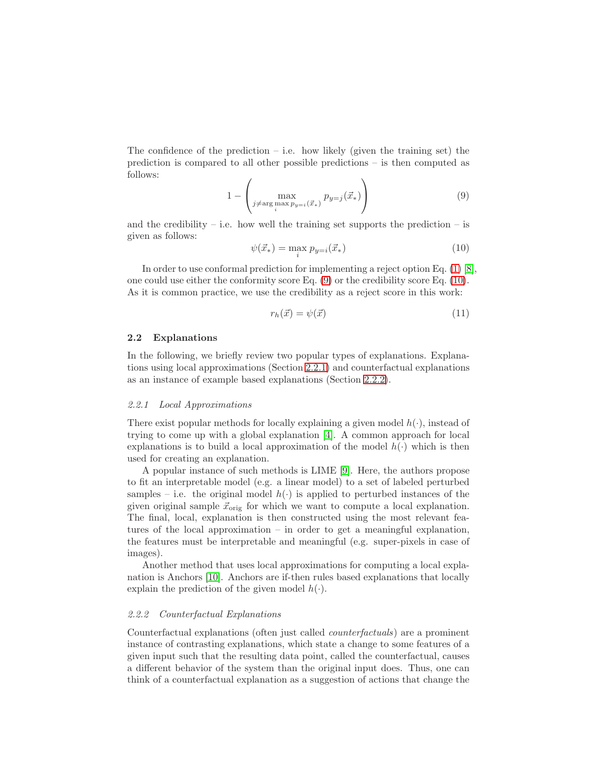The confidence of the prediction – i.e. how likely (given the training set) the prediction is compared to all other possible predictions – is then computed as follows:

<span id="page-3-2"></span>
$$
1 - \left(\max_{j \neq \arg\max_{i} p_{y=i}(\vec{x}_*)} p_{y=j}(\vec{x}_*)\right) \tag{9}
$$

and the credibility – i.e. how well the training set supports the prediction – is given as follows:

<span id="page-3-3"></span>
$$
\psi(\vec{x}_*) = \max_i p_{y=i}(\vec{x}_*)
$$
\n(10)

In order to use conformal prediction for implementing a reject option Eq. [\(1\)](#page-1-2) [\[8\]](#page-9-8), one could use either the conformity score Eq. [\(9\)](#page-3-2) or the credibility score Eq. [\(10\)](#page-3-3). As it is common practice, we use the credibility as a reject score in this work:

<span id="page-3-4"></span>
$$
r_h(\vec{x}) = \psi(\vec{x}) \tag{11}
$$

### 2.2 Explanations

In the following, we briefly review two popular types of explanations. Explanations using local approximations (Section [2.2.1\)](#page-3-0) and counterfactual explanations as an instance of example based explanations (Section [2.2.2\)](#page-3-1).

#### <span id="page-3-0"></span>2.2.1 Local Approximations

There exist popular methods for locally explaining a given model  $h(\cdot)$ , instead of trying to come up with a global explanation [\[4\]](#page-9-3). A common approach for local explanations is to build a local approximation of the model  $h(\cdot)$  which is then used for creating an explanation.

A popular instance of such methods is LIME [9]. Here, the authors propose to fit an interpretable model (e.g. a linear model) to a set of labeled perturbed samples – i.e. the original model  $h(\cdot)$  is applied to perturbed instances of the given original sample  $\vec{x}_{\text{orig}}$  for which we want to compute a local explanation. The final, local, explanation is then constructed using the most relevant features of the local approximation – in order to get a meaningful explanation, the features must be interpretable and meaningful (e.g. super-pixels in case of images).

Another method that uses local approximations for computing a local explanation is Anchors [10]. Anchors are if-then rules based explanations that locally explain the prediction of the given model  $h(\cdot)$ .

#### <span id="page-3-1"></span>2.2.2 Counterfactual Explanations

Counterfactual explanations (often just called counterfactuals) are a prominent instance of contrasting explanations, which state a change to some features of a given input such that the resulting data point, called the counterfactual, causes a different behavior of the system than the original input does. Thus, one can think of a counterfactual explanation as a suggestion of actions that change the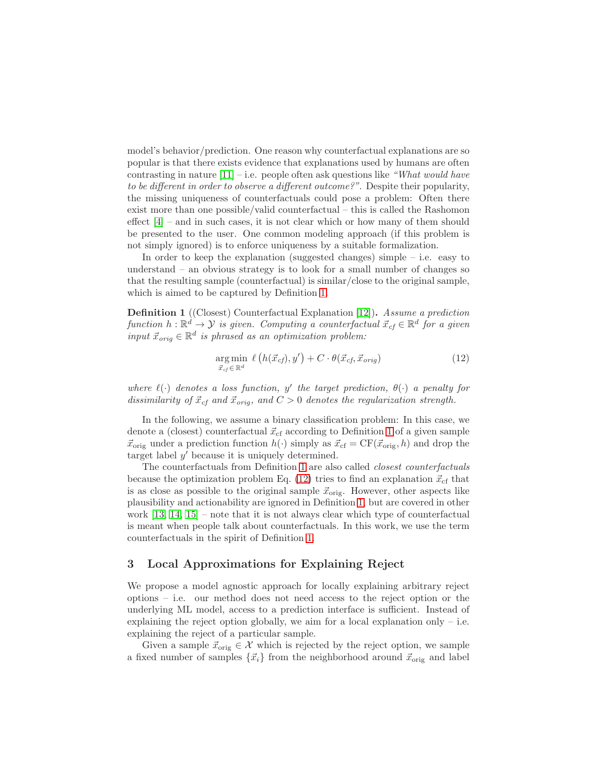model's behavior/prediction. One reason why counterfactual explanations are so popular is that there exists evidence that explanations used by humans are often contrasting in nature  $[11]$  – i.e. people often ask questions like "What would have to be different in order to observe a different outcome?". Despite their popularity, the missing uniqueness of counterfactuals could pose a problem: Often there exist more than one possible/valid counterfactual – this is called the Rashomon effect [\[4\]](#page-9-3) – and in such cases, it is not clear which or how many of them should be presented to the user. One common modeling approach (if this problem is not simply ignored) is to enforce uniqueness by a suitable formalization.

In order to keep the explanation (suggested changes) simple  $-$  i.e. easy to understand – an obvious strategy is to look for a small number of changes so that the resulting sample (counterfactual) is similar/close to the original sample, which is aimed to be captured by Definition [1.](#page-4-1)

<span id="page-4-1"></span>Definition 1 ((Closest) Counterfactual Explanation [\[12\]](#page-10-1)). Assume a prediction function  $h : \mathbb{R}^d \to \mathcal{Y}$  is given. Computing a counterfactual  $\vec{x}_{cf} \in \mathbb{R}^d$  for a given input  $\vec{x}_{orig} \in \mathbb{R}^d$  is phrased as an optimization problem:

<span id="page-4-2"></span>
$$
\underset{\vec{x}_{cf} \in \mathbb{R}^d}{\text{arg min}} \ \ell\left(h(\vec{x}_{cf}), y'\right) + C \cdot \theta(\vec{x}_{cf}, \vec{x}_{orig}) \tag{12}
$$

where  $\ell(\cdot)$  denotes a loss function, y' the target prediction,  $\theta(\cdot)$  a penalty for dissimilarity of  $\vec{x}_{cf}$  and  $\vec{x}_{orig}$ , and  $C > 0$  denotes the regularization strength.

In the following, we assume a binary classification problem: In this case, we denote a (closest) counterfactual  $\vec{x}_{cf}$  according to Definition [1](#page-4-1) of a given sample  $\vec{x}_{\text{orig}}$  under a prediction function  $h(\cdot)$  simply as  $\vec{x}_{\text{cf}} = \text{CF}(\vec{x}_{\text{orig}}, h)$  and drop the target label  $y'$  because it is uniquely determined.

The counterfactuals from Definition [1](#page-4-1) are also called closest counterfactuals because the optimization problem Eq. [\(12\)](#page-4-2) tries to find an explanation  $\vec{x}_{cf}$  that is as close as possible to the original sample  $\vec{x}_{\text{orig}}$ . However, other aspects like plausibility and actionability are ignored in Definition [1,](#page-4-1) but are covered in other work [\[13,](#page-10-2) [14,](#page-10-3) [15\]](#page-10-4) – note that it is not always clear which type of counterfactual is meant when people talk about counterfactuals. In this work, we use the term counterfactuals in the spirit of Definition [1.](#page-4-1)

### <span id="page-4-0"></span>3 Local Approximations for Explaining Reject

We propose a model agnostic approach for locally explaining arbitrary reject options – i.e. our method does not need access to the reject option or the underlying ML model, access to a prediction interface is sufficient. Instead of explaining the reject option globally, we aim for a local explanation only  $-$  i.e. explaining the reject of a particular sample.

Given a sample  $\vec{x}_{\text{orig}} \in \mathcal{X}$  which is rejected by the reject option, we sample a fixed number of samples  $\{\vec{x}_i\}$  from the neighborhood around  $\vec{x}_{\text{orig}}$  and label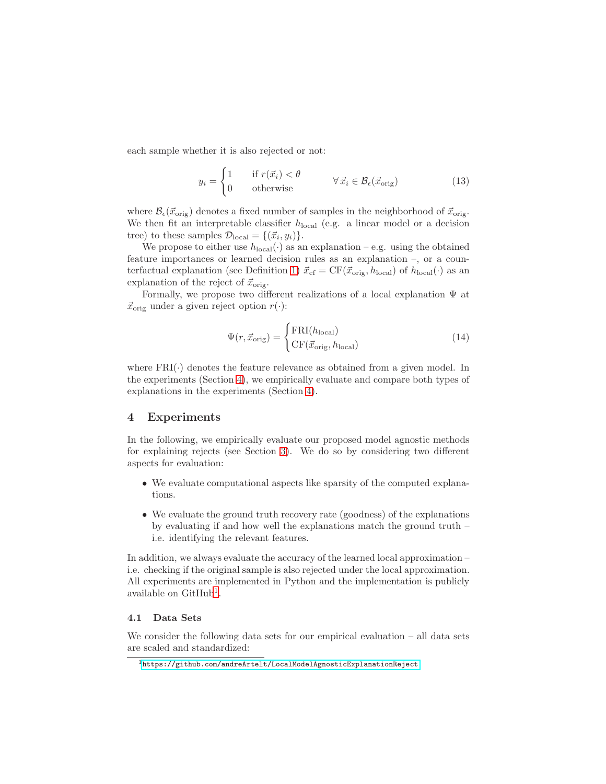each sample whether it is also rejected or not:

$$
y_i = \begin{cases} 1 & \text{if } r(\vec{x}_i) < \theta \\ 0 & \text{otherwise} \end{cases} \qquad \forall \, \vec{x}_i \in \mathcal{B}_{\epsilon}(\vec{x}_{\text{orig}}) \tag{13}
$$

where  $\mathcal{B}_{\epsilon}(\vec{x}_{\text{orig}})$  denotes a fixed number of samples in the neighborhood of  $\vec{x}_{\text{orig}}$ . We then fit an interpretable classifier  $h_{\text{local}}$  (e.g. a linear model or a decision tree) to these samples  $\mathcal{D}_{\text{local}} = \{(\vec{x_i}, y_i)\}.$ 

We propose to either use  $h_{\text{local}}(\cdot)$  as an explanation – e.g. using the obtained feature importances or learned decision rules as an explanation –, or a coun-terfactual explanation (see Definition [1\)](#page-4-1)  $\vec{x}_{cf} = CF(\vec{x}_{orig}, h_{local})$  of  $h_{local}(\cdot)$  as an explanation of the reject of  $\vec{x}_{\text{orig}}$ .

Formally, we propose two different realizations of a local explanation Ψ at  $\vec{x}_{\text{orig}}$  under a given reject option  $r(\cdot)$ :

$$
\Psi(r, \vec{x}_{\text{orig}}) = \begin{cases} \text{FRI}(h_{\text{local}}) \\ \text{CF}(\vec{x}_{\text{orig}}, h_{\text{local}}) \end{cases}
$$
(14)

where  $FRI(\cdot)$  denotes the feature relevance as obtained from a given model. In the experiments (Section [4\)](#page-5-0), we empirically evaluate and compare both types of explanations in the experiments (Section [4\)](#page-5-0).

### <span id="page-5-0"></span>4 Experiments

In the following, we empirically evaluate our proposed model agnostic methods for explaining rejects (see Section [3\)](#page-4-0). We do so by considering two different aspects for evaluation:

- We evaluate computational aspects like sparsity of the computed explanations.
- We evaluate the ground truth recovery rate (goodness) of the explanations by evaluating if and how well the explanations match the ground truth – i.e. identifying the relevant features.

In addition, we always evaluate the accuracy of the learned local approximation – i.e. checking if the original sample is also rejected under the local approximation. All experiments are implemented in Python and the implementation is publicly available on  $\text{GitHub}^1$ .

#### 4.1 Data Sets

We consider the following data sets for our empirical evaluation – all data sets are scaled and standardized:

 $1$ <https://github.com/andreArtelt/LocalModelAgnosticExplanationReject>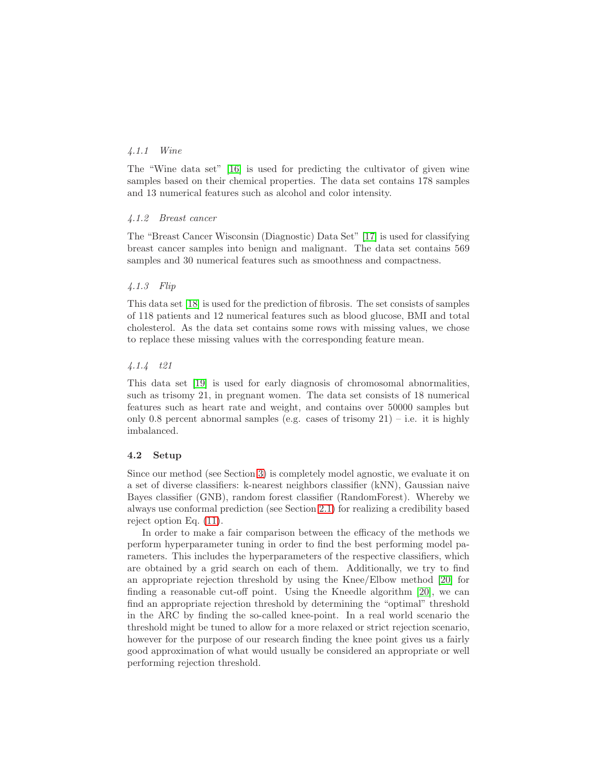### 4.1.1 Wine

The "Wine data set" [\[16\]](#page-10-5) is used for predicting the cultivator of given wine samples based on their chemical properties. The data set contains 178 samples and 13 numerical features such as alcohol and color intensity.

#### 4.1.2 Breast cancer

The "Breast Cancer Wisconsin (Diagnostic) Data Set" [\[17\]](#page-10-6) is used for classifying breast cancer samples into benign and malignant. The data set contains 569 samples and 30 numerical features such as smoothness and compactness.

### 4.1.3 Flip

This data set [\[18\]](#page-10-7) is used for the prediction of fibrosis. The set consists of samples of 118 patients and 12 numerical features such as blood glucose, BMI and total cholesterol. As the data set contains some rows with missing values, we chose to replace these missing values with the corresponding feature mean.

### 4.1.4 t21

This data set [\[19\]](#page-10-8) is used for early diagnosis of chromosomal abnormalities, such as trisomy 21, in pregnant women. The data set consists of 18 numerical features such as heart rate and weight, and contains over 50000 samples but only 0.8 percent abnormal samples (e.g. cases of trisomy  $21$ ) – i.e. it is highly imbalanced.

#### 4.2 Setup

Since our method (see Section [3\)](#page-4-0) is completely model agnostic, we evaluate it on a set of diverse classifiers: k-nearest neighbors classifier (kNN), Gaussian naive Bayes classifier (GNB), random forest classifier (RandomForest). Whereby we always use conformal prediction (see Section [2.1\)](#page-1-1) for realizing a credibility based reject option Eq. [\(11\)](#page-3-4).

In order to make a fair comparison between the efficacy of the methods we perform hyperparameter tuning in order to find the best performing model parameters. This includes the hyperparameters of the respective classifiers, which are obtained by a grid search on each of them. Additionally, we try to find an appropriate rejection threshold by using the Knee/Elbow method [\[20\]](#page-10-9) for finding a reasonable cut-off point. Using the Kneedle algorithm [\[20\]](#page-10-9), we can find an appropriate rejection threshold by determining the "optimal" threshold in the ARC by finding the so-called knee-point. In a real world scenario the threshold might be tuned to allow for a more relaxed or strict rejection scenario, however for the purpose of our research finding the knee point gives us a fairly good approximation of what would usually be considered an appropriate or well performing rejection threshold.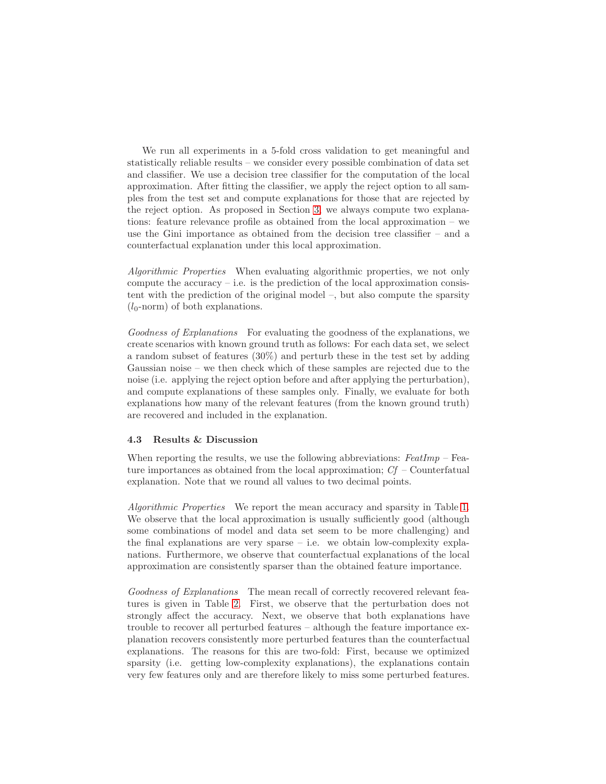We run all experiments in a 5-fold cross validation to get meaningful and statistically reliable results – we consider every possible combination of data set and classifier. We use a decision tree classifier for the computation of the local approximation. After fitting the classifier, we apply the reject option to all samples from the test set and compute explanations for those that are rejected by the reject option. As proposed in Section [3,](#page-4-0) we always compute two explanations: feature relevance profile as obtained from the local approximation – we use the Gini importance as obtained from the decision tree classifier – and a counterfactual explanation under this local approximation.

Algorithmic Properties When evaluating algorithmic properties, we not only compute the accuracy  $-$  i.e. is the prediction of the local approximation consistent with the prediction of the original model –, but also compute the sparsity  $(l_0\text{-norm})$  of both explanations.

Goodness of Explanations For evaluating the goodness of the explanations, we create scenarios with known ground truth as follows: For each data set, we select a random subset of features (30%) and perturb these in the test set by adding Gaussian noise – we then check which of these samples are rejected due to the noise (i.e. applying the reject option before and after applying the perturbation), and compute explanations of these samples only. Finally, we evaluate for both explanations how many of the relevant features (from the known ground truth) are recovered and included in the explanation.

### 4.3 Results & Discussion

When reporting the results, we use the following abbreviations:  $FeatImp$  – Feature importances as obtained from the local approximation;  $C_f$  – Counterfatual explanation. Note that we round all values to two decimal points.

Algorithmic Properties We report the mean accuracy and sparsity in Table [1.](#page-8-0) We observe that the local approximation is usually sufficiently good (although some combinations of model and data set seem to be more challenging) and the final explanations are very sparse  $-$  i.e. we obtain low-complexity explanations. Furthermore, we observe that counterfactual explanations of the local approximation are consistently sparser than the obtained feature importance.

Goodness of Explanations The mean recall of correctly recovered relevant features is given in Table [2.](#page-8-1) First, we observe that the perturbation does not strongly affect the accuracy. Next, we observe that both explanations have trouble to recover all perturbed features – although the feature importance explanation recovers consistently more perturbed features than the counterfactual explanations. The reasons for this are two-fold: First, because we optimized sparsity (i.e. getting low-complexity explanations), the explanations contain very few features only and are therefore likely to miss some perturbed features.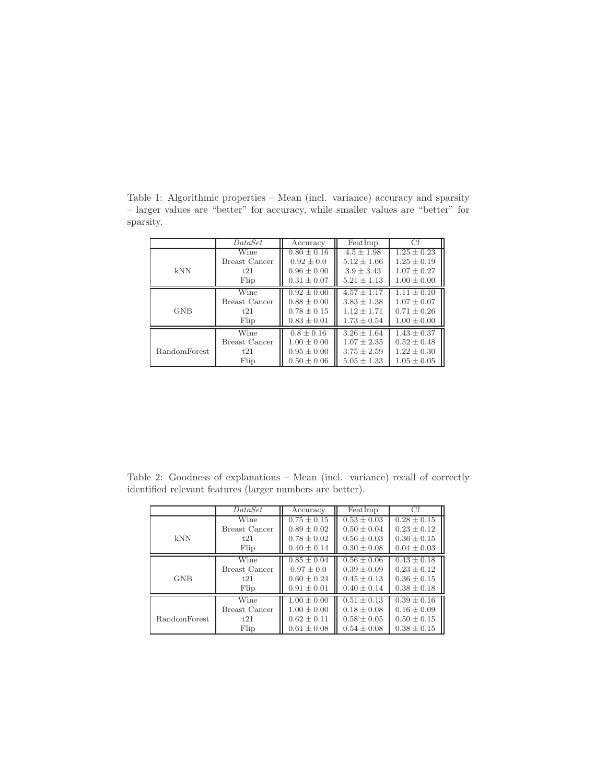|                     | DataSet              | Accuracy        | FeatImp         | Cf              |
|---------------------|----------------------|-----------------|-----------------|-----------------|
|                     | Wine                 | $0.80 \pm 0.16$ | $4.5 \pm 1.98$  | $1.25 \pm 0.23$ |
|                     | <b>Breast Cancer</b> | $0.92 \pm 0.0$  | $5.12 \pm 1.66$ | $1.25 \pm 0.19$ |
| kNN                 | t21                  | $0.96 \pm 0.00$ | $3.9 \pm 3.43$  | $1.07 \pm 0.27$ |
|                     | Flip                 | $0.31 \pm 0.07$ | $5.21 \pm 1.13$ | $1.00 \pm 0.00$ |
|                     | Wine                 | $0.92 \pm 0.00$ | $4.57 + 1.17$   | $1.11 + 0.10$   |
| <b>GNB</b>          | <b>Breast Cancer</b> | $0.88 \pm 0.00$ | $3.83 + 1.38$   | $1.07 \pm 0.07$ |
|                     | t21                  | $0.78 \pm 0.15$ | $1.12 \pm 1.71$ | $0.71 \pm 0.26$ |
|                     | Flip                 | $0.83 \pm 0.01$ | $1.73 \pm 0.54$ | $1.00 \pm 0.00$ |
|                     | Wine                 | $0.8 \pm 0.16$  | $3.26 + 1.64$   | $1.43 \pm 0.37$ |
| <b>RandomForest</b> | <b>Breast Cancer</b> | $1.00 \pm 0.00$ | $1.07 \pm 2.35$ | $0.52 \pm 0.48$ |
|                     | t21                  | $0.95 \pm 0.00$ | $3.75 \pm 2.59$ | $1.22 \pm 0.30$ |
|                     | Flip                 | $0.50 \pm 0.06$ | $5.05 \pm 1.33$ | $1.05 \pm 0.05$ |

<span id="page-8-0"></span>Table 1: Algorithmic properties – Mean (incl. variance) accuracy and sparsity – larger values are "better" for accuracy, while smaller values are "better" for sparsity.

<span id="page-8-1"></span>Table 2: Goodness of explanations – Mean (incl. variance) recall of correctly identified relevant features (larger numbers are better).

|                     | <i>DataSet</i>       | Accuracy        | FeatImp         | Cf              |
|---------------------|----------------------|-----------------|-----------------|-----------------|
|                     | Wine                 | $0.75 \pm 0.15$ | $0.53 \pm 0.03$ | $0.28 \pm 0.15$ |
|                     | <b>Breast Cancer</b> | $0.89 + 0.02$   | $0.50 + 0.04$   | $0.23 + 0.12$   |
| kNN                 | t21                  | $0.78 \pm 0.02$ | $0.56 + 0.03$   | $0.36 \pm 0.15$ |
|                     | Flip                 | $0.40 \pm 0.14$ | $0.30 \pm 0.08$ | $0.04 \pm 0.03$ |
|                     | Wine                 | $0.85 + 0.04$   | $0.56 + 0.06$   | $0.43 + 0.18$   |
| <b>GNB</b>          | Breast Cancer        | $0.97 + 0.0$    | $0.39 + 0.09$   | $0.23 + 0.12$   |
|                     | t21                  | $0.60 + 0.24$   | $0.45 + 0.13$   | $0.36 \pm 0.15$ |
|                     | Flip                 | $0.91 \pm 0.01$ | $0.40 \pm 0.14$ | $0.38 \pm 0.18$ |
|                     | Wine                 | $1.00 \pm 0.00$ | $0.51 + 0.13$   | $0.39 \pm 0.16$ |
| <b>RandomForest</b> | <b>Breast Cancer</b> | $1.00 \pm 0.00$ | $0.18 + 0.08$   | $0.16 \pm 0.09$ |
|                     | t21                  | $0.62 \pm 0.11$ | $0.58 \pm 0.05$ | $0.50 \pm 0.15$ |
|                     | Flip                 | $0.61 \pm 0.08$ | $0.54 \pm 0.08$ | $0.38 \pm 0.15$ |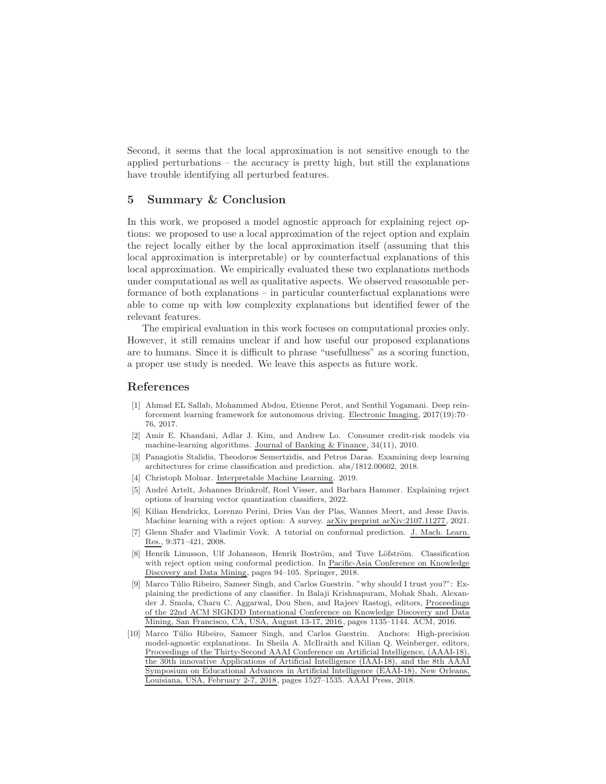Second, it seems that the local approximation is not sensitive enough to the applied perturbations – the accuracy is pretty high, but still the explanations have trouble identifying all perturbed features.

### <span id="page-9-5"></span>5 Summary & Conclusion

In this work, we proposed a model agnostic approach for explaining reject options: we proposed to use a local approximation of the reject option and explain the reject locally either by the local approximation itself (assuming that this local approximation is interpretable) or by counterfactual explanations of this local approximation. We empirically evaluated these two explanations methods under computational as well as qualitative aspects. We observed reasonable performance of both explanations – in particular counterfactual explanations were able to come up with low complexity explanations but identified fewer of the relevant features.

The empirical evaluation in this work focuses on computational proxies only. However, it still remains unclear if and how useful our proposed explanations are to humans. Since it is difficult to phrase "usefullness" as a scoring function, a proper use study is needed. We leave this aspects as future work.

### <span id="page-9-0"></span>References

- [1] Ahmad EL Sallab, Mohammed Abdou, Etienne Perot, and Senthil Yogamani. Deep reinforcement learning framework for autonomous driving. Electronic Imaging, 2017(19):70– 76, 2017.
- <span id="page-9-1"></span>[2] Amir E. Khandani, Adlar J. Kim, and Andrew Lo. Consumer credit-risk models via machine-learning algorithms. Journal of Banking & Finance, 34(11), 2010.
- <span id="page-9-2"></span>[3] Panagiotis Stalidis, Theodoros Semertzidis, and Petros Daras. Examining deep learning architectures for crime classification and prediction. abs/1812.00602, 2018.
- <span id="page-9-4"></span><span id="page-9-3"></span>[4] Christoph Molnar. Interpretable Machine Learning. 2019.
- [5] Andr´e Artelt, Johannes Brinkrolf, Roel Visser, and Barbara Hammer. Explaining reject options of learning vector quantization classifiers, 2022.
- <span id="page-9-6"></span>[6] Kilian Hendrickx, Lorenzo Perini, Dries Van der Plas, Wannes Meert, and Jesse Davis. Machine learning with a reject option: A survey. arXiv preprint arXiv:2107.11277, 2021.
- <span id="page-9-7"></span>[7] Glenn Shafer and Vladimir Vovk. A tutorial on conformal prediction. J. Mach. Learn. Res., 9:371–421, 2008.
- <span id="page-9-8"></span>[8] Henrik Linusson, Ulf Johansson, Henrik Boström, and Tuve Löfström. Classification with reject option using conformal prediction. In Pacific-Asia Conference on Knowledge Discovery and Data Mining, pages 94–105. Springer, 2018.
- [9] Marco Túlio Ribeiro, Sameer Singh, and Carlos Guestrin. "why should I trust you?": Explaining the predictions of any classifier. In Balaji Krishnapuram, Mohak Shah, Alexander J. Smola, Charu C. Aggarwal, Dou Shen, and Rajeev Rastogi, editors, Proceedings of the 22nd ACM SIGKDD International Conference on Knowledge Discovery and Data Mining, San Francisco, CA, USA, August 13-17, 2016, pages 1135–1144. ACM, 2016.
- [10] Marco Túlio Ribeiro, Sameer Singh, and Carlos Guestrin. Anchors: High-precision model-agnostic explanations. In Sheila A. McIlraith and Kilian Q. Weinberger, editors, Proceedings of the Thirty-Second AAAI Conference on Artificial Intelligence, (AAAI-18), the 30th innovative Applications of Artificial Intelligence (IAAI-18), and the 8th AAAI Symposium on Educational Advances in Artificial Intelligence (EAAI-18), New Orleans, Louisiana, USA, February 2-7, 2018, pages 1527–1535. AAAI Press, 2018.